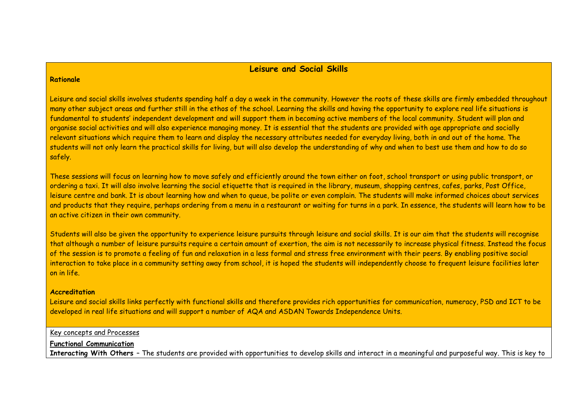#### **Leisure and Social Skills**

#### **Rationale**

Leisure and social skills involves students spending half a day a week in the community. However the roots of these skills are firmly embedded throughout many other subject areas and further still in the ethos of the school. Learning the skills and having the opportunity to explore real life situations is fundamental to students' independent development and will support them in becoming active members of the local community. Student will plan and organise social activities and will also experience managing money. It is essential that the students are provided with age appropriate and socially relevant situations which require them to learn and display the necessary attributes needed for everyday living, both in and out of the home. The students will not only learn the practical skills for living, but will also develop the understanding of why and when to best use them and how to do so safely.

These sessions will focus on learning how to move safely and efficiently around the town either on foot, school transport or using public transport, or ordering a taxi. It will also involve learning the social etiquette that is required in the library, museum, shopping centres, cafes, parks, Post Office, leisure centre and bank. It is about learning how and when to queue, be polite or even complain. The students will make informed choices about services and products that they require, perhaps ordering from a menu in a restaurant or waiting for turns in a park. In essence, the students will learn how to be an active citizen in their own community.

Students will also be given the opportunity to experience leisure pursuits through leisure and social skills. It is our aim that the students will recognise that although a number of leisure pursuits require a certain amount of exertion, the aim is not necessarily to increase physical fitness. Instead the focus of the session is to promote a feeling of fun and relaxation in a less formal and stress free environment with their peers. By enabling positive social interaction to take place in a community setting away from school, it is hoped the students will independently choose to frequent leisure facilities later on in life.

#### **Accreditation**

Leisure and social skills links perfectly with functional skills and therefore provides rich opportunities for communication, numeracy, PSD and ICT to be developed in real life situations and will support a number of AQA and ASDAN Towards Independence Units.

#### Key concepts and Processes

#### **Functional Communication**

**Interacting With Others** – The students are provided with opportunities to develop skills and interact in a meaningful and purposeful way. This is key to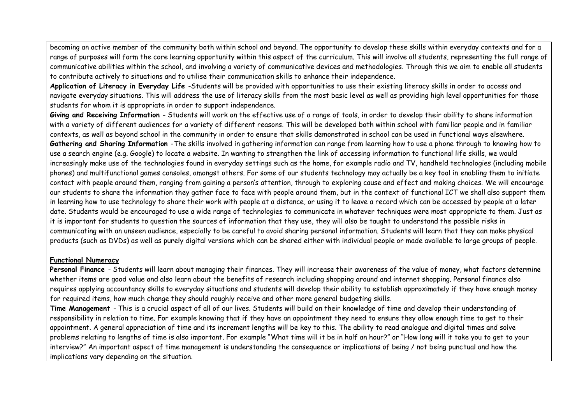becoming an active member of the community both within school and beyond. The opportunity to develop these skills within everyday contexts and for a range of purposes will form the core learning opportunity within this aspect of the curriculum. This will involve all students, representing the full range of communicative abilities within the school, and involving a variety of communicative devices and methodologies. Through this we aim to enable all students to contribute actively to situations and to utilise their communication skills to enhance their independence.

**Application of Literacy in Everyday Life** -Students will be provided with opportunities to use their existing literacy skills in order to access and navigate everyday situations. This will address the use of literacy skills from the most basic level as well as providing high level opportunities for those students for whom it is appropriate in order to support independence.

**Giving and Receiving Information** - Students will work on the effective use of a range of tools, in order to develop their ability to share information with a variety of different audiences for a variety of different reasons. This will be developed both within school with familiar people and in familiar contexts, as well as beyond school in the community in order to ensure that skills demonstrated in school can be used in functional ways elsewhere. **Gathering and Sharing Information** -The skills involved in gathering information can range from learning how to use a phone through to knowing how to use a search engine (e.g. Google) to locate a website. In wanting to strengthen the link of accessing information to functional life skills, we would increasingly make use of the technologies found in everyday settings such as the home, for example radio and TV, handheld technologies (including mobile phones) and multifunctional games consoles, amongst others. For some of our students technology may actually be a key tool in enabling them to initiate contact with people around them, ranging from gaining a person's attention, through to exploring cause and effect and making choices. We will encourage our students to share the information they gather face to face with people around them, but in the context of functional ICT we shall also support them in learning how to use technology to share their work with people at a distance, or using it to leave a record which can be accessed by people at a later date. Students would be encouraged to use a wide range of technologies to communicate in whatever techniques were most appropriate to them. Just as it is important for students to question the sources of information that they use, they will also be taught to understand the possible risks in communicating with an unseen audience, especially to be careful to avoid sharing personal information. Students will learn that they can make physical products (such as DVDs) as well as purely digital versions which can be shared either with individual people or made available to large groups of people.

#### **Functional Numeracy**

Personal Finance - Students will learn about managing their finances. They will increase their awareness of the value of money, what factors determine whether items are good value and also learn about the benefits of research including shopping around and internet shopping. Personal finance also requires applying accountancy skills to everyday situations and students will develop their ability to establish approximately if they have enough money for required items, how much change they should roughly receive and other more general budgeting skills.

**Time Management** - This is a crucial aspect of all of our lives. Students will build on their knowledge of time and develop their understanding of responsibility in relation to time. For example knowing that if they have an appointment they need to ensure they allow enough time to get to their appointment. A general appreciation of time and its increment lengths will be key to this. The ability to read analogue and digital times and solve problems relating to lengths of time is also important. For example "What time will it be in half an hour?" or "How long will it take you to get to your interview?" An important aspect of time management is understanding the consequence or implications of being / not being punctual and how the implications vary depending on the situation.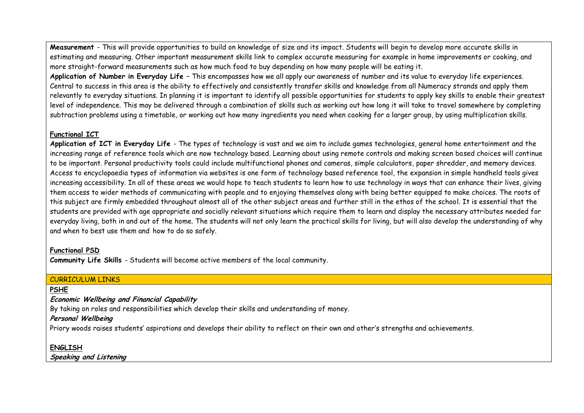**Measurement** - This will provide opportunities to build on knowledge of size and its impact. Students will begin to develop more accurate skills in estimating and measuring. Other important measurement skills link to complex accurate measuring for example in home improvements or cooking, and more straight-forward measurements such as how much food to buy depending on how many people will be eating it.

**Application of Number in Everyday Life** – This encompasses how we all apply our awareness of number and its value to everyday life experiences. Central to success in this area is the ability to effectively and consistently transfer skills and knowledge from all Numeracy strands and apply them relevantly to everyday situations. In planning it is important to identify all possible opportunities for students to apply key skills to enable their greatest level of independence. This may be delivered through a combination of skills such as working out how long it will take to travel somewhere by completing subtraction problems using a timetable, or working out how many ingredients you need when cooking for a larger group, by using multiplication skills.

### **Functional ICT**

**Application of ICT in Everyday Life** - The types of technology is vast and we aim to include games technologies, general home entertainment and the increasing range of reference tools which are now technology based. Learning about using remote controls and making screen based choices will continue to be important. Personal productivity tools could include multifunctional phones and cameras, simple calculators, paper shredder, and memory devices. Access to encyclopaedia types of information via websites is one form of technology based reference tool, the expansion in simple handheld tools gives increasing accessibility. In all of these areas we would hope to teach students to learn how to use technology in ways that can enhance their lives, giving them access to wider methods of communicating with people and to enjoying themselves along with being better equipped to make choices. The roots of this subject are firmly embedded throughout almost all of the other subject areas and further still in the ethos of the school. It is essential that the students are provided with age appropriate and socially relevant situations which require them to learn and display the necessary attributes needed for everyday living, both in and out of the home. The students will not only learn the practical skills for living, but will also develop the understanding of why and when to best use them and how to do so safely.

### **Functional PSD**

**Community Life Skills** - Students will become active members of the local community.

### CURRICULUM LINKS

## **PSHE**

**Economic Wellbeing and Financial Capability**

By taking on roles and responsibilities which develop their skills and understanding of money.

## **Personal Wellbeing**

Priory woods raises students' aspirations and develops their ability to reflect on their own and other's strengths and achievements.

## **ENGLISH**

**Speaking and Listening**